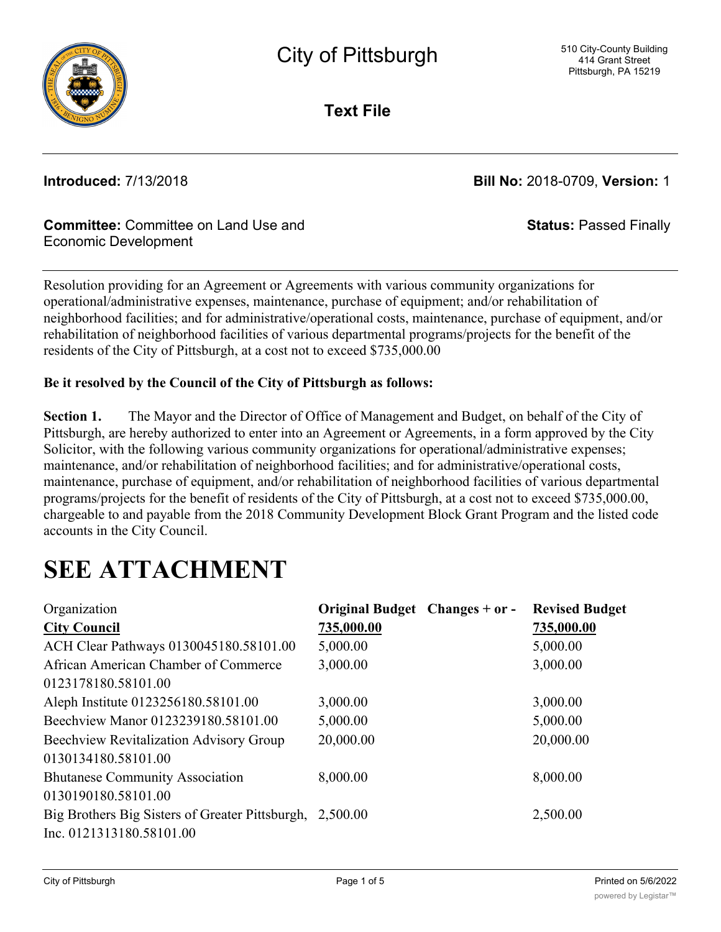

**Text File**

**Introduced:** 7/13/2018 **Bill No:** 2018-0709, **Version:** 1

**Status:** Passed Finally

# **Committee:** Committee on Land Use and Economic Development

Resolution providing for an Agreement or Agreements with various community organizations for operational/administrative expenses, maintenance, purchase of equipment; and/or rehabilitation of neighborhood facilities; and for administrative/operational costs, maintenance, purchase of equipment, and/or rehabilitation of neighborhood facilities of various departmental programs/projects for the benefit of the residents of the City of Pittsburgh, at a cost not to exceed \$735,000.00

# **Be it resolved by the Council of the City of Pittsburgh as follows:**

**Section 1.** The Mayor and the Director of Office of Management and Budget, on behalf of the City of Pittsburgh, are hereby authorized to enter into an Agreement or Agreements, in a form approved by the City Solicitor, with the following various community organizations for operational/administrative expenses; maintenance, and/or rehabilitation of neighborhood facilities; and for administrative/operational costs, maintenance, purchase of equipment, and/or rehabilitation of neighborhood facilities of various departmental programs/projects for the benefit of residents of the City of Pittsburgh, at a cost not to exceed \$735,000.00, chargeable to and payable from the 2018 Community Development Block Grant Program and the listed code accounts in the City Council.

# **SEE ATTACHMENT**

| Organization                                             | Original Budget Changes + or - | <b>Revised Budget</b> |
|----------------------------------------------------------|--------------------------------|-----------------------|
| <b>City Council</b>                                      | 735,000.00                     | 735,000.00            |
| ACH Clear Pathways 0130045180.58101.00                   | 5,000.00                       | 5,000.00              |
| African American Chamber of Commerce                     | 3,000.00                       | 3,000.00              |
| 0123178180.58101.00                                      |                                |                       |
| Aleph Institute 0123256180.58101.00                      | 3,000.00                       | 3,000.00              |
| Beechview Manor 0123239180.58101.00                      | 5,000.00                       | 5,000.00              |
| Beechview Revitalization Advisory Group                  | 20,000.00                      | 20,000.00             |
| 0130134180.58101.00                                      |                                |                       |
| <b>Bhutanese Community Association</b>                   | 8,000.00                       | 8,000.00              |
| 0130190180.58101.00                                      |                                |                       |
| Big Brothers Big Sisters of Greater Pittsburgh, 2,500.00 |                                | 2,500.00              |
| Inc. 0121313180.58101.00                                 |                                |                       |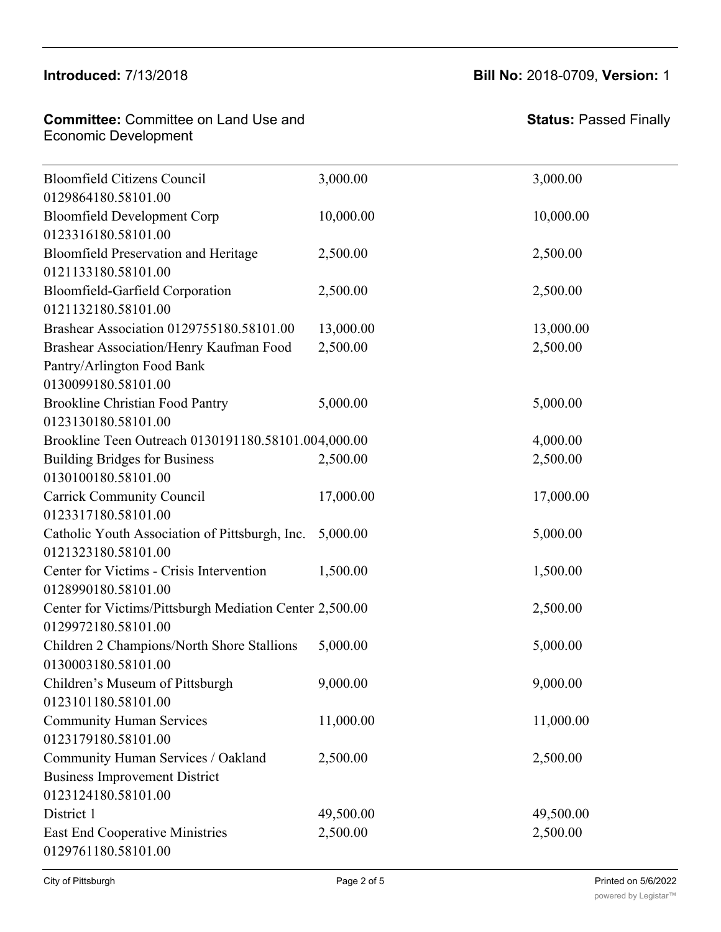## $B^{\text{total}}$ 0130134180.58101.00

#### **Committee:** Committee on Land Use and Economic Development **Committee: Commi**

**Status:** Passed Finally

| <b>Bloomfield Citizens Council</b>                      | 3,000.00  | 3,000.00  |
|---------------------------------------------------------|-----------|-----------|
| 0129864180.58101.00                                     |           |           |
| <b>Bloomfield Development Corp</b>                      | 10,000.00 | 10,000.00 |
| 0123316180.58101.00                                     |           |           |
| <b>Bloomfield Preservation and Heritage</b>             | 2,500.00  | 2,500.00  |
| 0121133180.58101.00                                     |           |           |
| <b>Bloomfield-Garfield Corporation</b>                  | 2,500.00  | 2,500.00  |
| 0121132180.58101.00                                     |           |           |
| Brashear Association 0129755180.58101.00                | 13,000.00 | 13,000.00 |
| Brashear Association/Henry Kaufman Food                 | 2,500.00  | 2,500.00  |
| Pantry/Arlington Food Bank                              |           |           |
| 0130099180.58101.00                                     |           |           |
| <b>Brookline Christian Food Pantry</b>                  | 5,000.00  | 5,000.00  |
| 0123130180.58101.00                                     |           |           |
| Brookline Teen Outreach 0130191180.58101.004,000.00     |           | 4,000.00  |
| <b>Building Bridges for Business</b>                    | 2,500.00  | 2,500.00  |
| 0130100180.58101.00                                     |           |           |
| <b>Carrick Community Council</b>                        | 17,000.00 | 17,000.00 |
| 0123317180.58101.00                                     |           |           |
| Catholic Youth Association of Pittsburgh, Inc.          | 5,000.00  | 5,000.00  |
| 0121323180.58101.00                                     |           |           |
| Center for Victims - Crisis Intervention                | 1,500.00  | 1,500.00  |
| 0128990180.58101.00                                     |           |           |
| Center for Victims/Pittsburgh Mediation Center 2,500.00 |           | 2,500.00  |
| 0129972180.58101.00                                     |           |           |
| Children 2 Champions/North Shore Stallions              | 5,000.00  | 5,000.00  |
| 0130003180.58101.00                                     |           |           |
| Children's Museum of Pittsburgh                         | 9,000.00  | 9,000.00  |
| 0123101180.58101.00                                     |           |           |
| <b>Community Human Services</b>                         | 11,000.00 | 11,000.00 |
| 0123179180.58101.00                                     |           |           |
| Community Human Services / Oakland                      | 2,500.00  | 2,500.00  |
| <b>Business Improvement District</b>                    |           |           |
| 0123124180.58101.00                                     |           |           |
| District 1                                              | 49,500.00 | 49,500.00 |
| <b>East End Cooperative Ministries</b>                  | 2,500.00  | 2,500.00  |
| 0129761180.58101.00                                     |           |           |

 $B_{\rm 2D}$  , and  $B_{\rm 2D}$  and  $B_{\rm 2D}$  and  $B_{\rm 2D}$  and  $B_{\rm 2D}$  and  $B_{\rm 2D}$  ,  $B_{\rm 2D}$  ,  $B_{\rm 2D}$  ,  $B_{\rm 2D}$  ,  $B_{\rm 2D}$  ,  $B_{\rm 2D}$  ,  $B_{\rm 2D}$  ,  $B_{\rm 2D}$  ,  $B_{\rm 2D}$  ,  $B_{\rm 2D}$  ,  $B_{\rm 2D}$  ,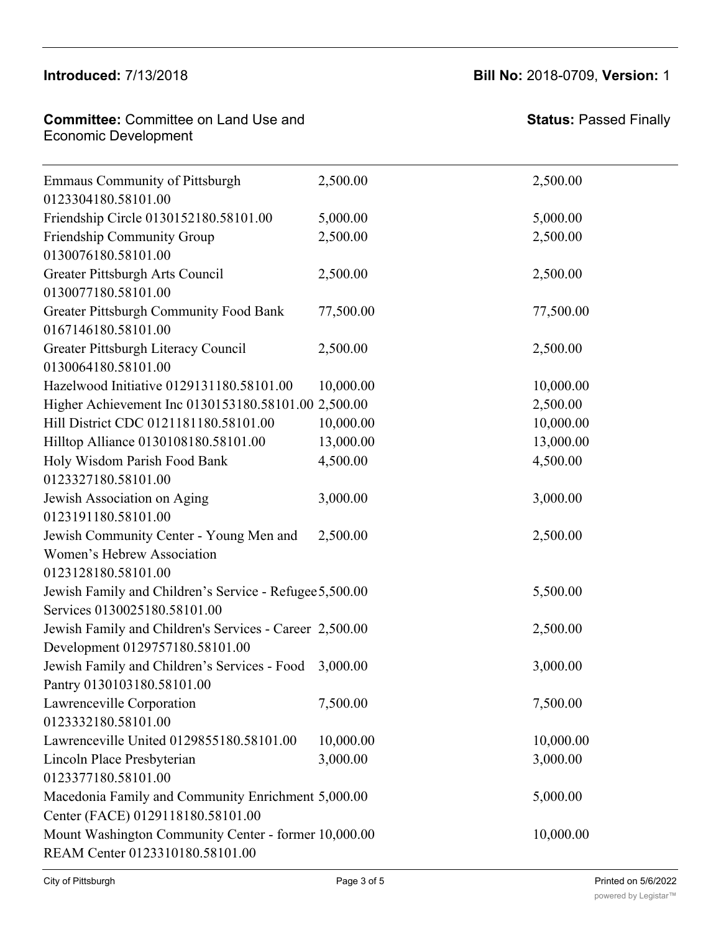### Introduced:  $7/13/2018$ Business Improvement District

0123179180.58101.00

### **Committee:** Committee on Land Use and Economic Development District 1 49,500.00 49,500.00

**Status:** Passed Finally

| <b>Emmaus Community of Pittsburgh</b><br>0123304180.58101.00 | 2,500.00  | 2,500.00  |
|--------------------------------------------------------------|-----------|-----------|
| Friendship Circle 0130152180.58101.00                        | 5,000.00  | 5,000.00  |
| Friendship Community Group                                   | 2,500.00  | 2,500.00  |
| 0130076180.58101.00                                          |           |           |
| Greater Pittsburgh Arts Council                              | 2,500.00  | 2,500.00  |
| 0130077180.58101.00                                          |           |           |
| Greater Pittsburgh Community Food Bank                       | 77,500.00 | 77,500.00 |
| 0167146180.58101.00                                          |           |           |
| Greater Pittsburgh Literacy Council<br>0130064180.58101.00   | 2,500.00  | 2,500.00  |
| Hazelwood Initiative 0129131180.58101.00                     | 10,000.00 | 10,000.00 |
| Higher Achievement Inc 0130153180.58101.00 2,500.00          |           | 2,500.00  |
| Hill District CDC 0121181180.58101.00                        | 10,000.00 | 10,000.00 |
| Hilltop Alliance 0130108180.58101.00                         | 13,000.00 | 13,000.00 |
| Holy Wisdom Parish Food Bank                                 | 4,500.00  | 4,500.00  |
| 0123327180.58101.00                                          |           |           |
| Jewish Association on Aging                                  | 3,000.00  | 3,000.00  |
| 0123191180.58101.00                                          |           |           |
| Jewish Community Center - Young Men and                      | 2,500.00  | 2,500.00  |
| Women's Hebrew Association                                   |           |           |
| 0123128180.58101.00                                          |           |           |
| Jewish Family and Children's Service - Refugee 5,500.00      |           | 5,500.00  |
| Services 0130025180.58101.00                                 |           |           |
| Jewish Family and Children's Services - Career 2,500.00      |           | 2,500.00  |
| Development 0129757180.58101.00                              |           |           |
| Jewish Family and Children's Services - Food                 | 3,000.00  | 3,000.00  |
| Pantry 0130103180.58101.00                                   |           |           |
| Lawrenceville Corporation                                    | 7,500.00  | 7,500.00  |
| 0123332180.58101.00                                          |           |           |
| Lawrenceville United 0129855180.58101.00                     | 10,000.00 | 10,000.00 |
| Lincoln Place Presbyterian                                   | 3,000.00  | 3,000.00  |
| 0123377180.58101.00                                          |           |           |
| Macedonia Family and Community Enrichment 5,000.00           |           | 5,000.00  |
| Center (FACE) 0129118180.58101.00                            |           |           |
| Mount Washington Community Center - former 10,000.00         |           | 10,000.00 |
| REAM Center 0123310180.58101.00                              |           |           |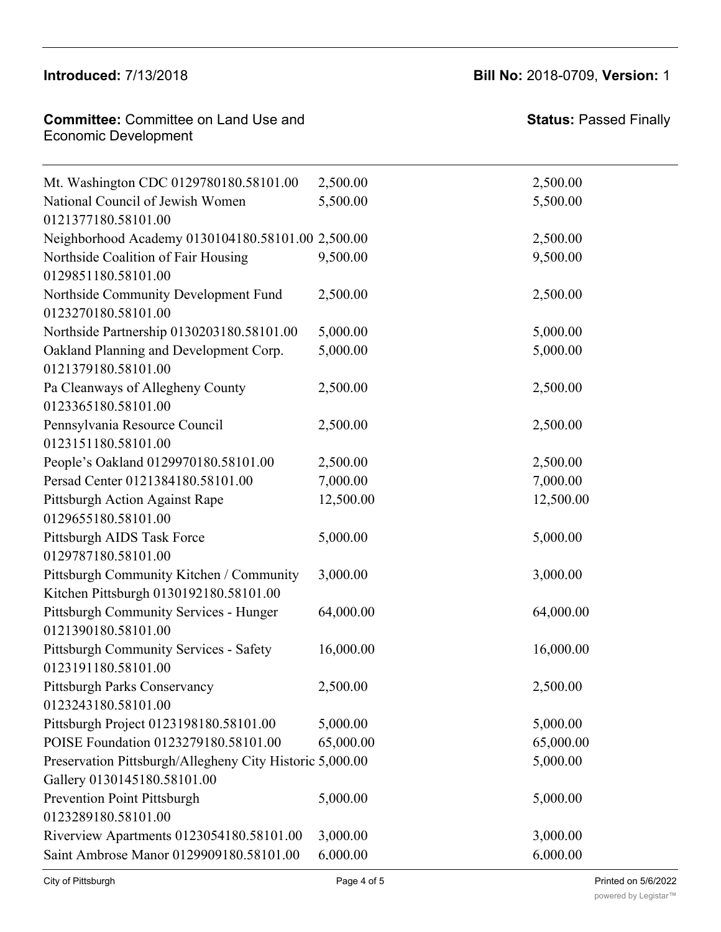# Introduced:  $7/13/2018$

**Committee:** Committee on Land Use and

Committee. Committee on Land O

Macedonia Family and Community Enrichment

**Introduced:** 7/13/2018 **Bill No:** 2018-0709, **Version:** 1 3,000.00 3,000.00

5,000.00 5,000.00

**Status:** Passed Finally

| <b>Economic Development</b>                                                        |             |                     |
|------------------------------------------------------------------------------------|-------------|---------------------|
| Mt. Washington CDC 0129780180.58101.00                                             | 2,500.00    | 2,500.00            |
| National Council of Jewish Women                                                   | 5,500.00    | 5,500.00            |
| 0121377180.58101.00                                                                |             |                     |
| Neighborhood Academy 0130104180.58101.00 2,500.00                                  |             | 2,500.00            |
| Northside Coalition of Fair Housing<br>0129851180.58101.00                         | 9,500.00    | 9,500.00            |
| Northside Community Development Fund<br>0123270180.58101.00                        | 2,500.00    | 2,500.00            |
| Northside Partnership 0130203180.58101.00                                          | 5,000.00    | 5,000.00            |
| Oakland Planning and Development Corp.<br>0121379180.58101.00                      | 5,000.00    | 5,000.00            |
| Pa Cleanways of Allegheny County<br>0123365180.58101.00                            | 2,500.00    | 2,500.00            |
| Pennsylvania Resource Council<br>0123151180.58101.00                               | 2,500.00    | 2,500.00            |
| People's Oakland 0129970180.58101.00                                               | 2,500.00    | 2,500.00            |
| Persad Center 0121384180.58101.00                                                  | 7,000.00    | 7,000.00            |
| Pittsburgh Action Against Rape<br>0129655180.58101.00                              | 12,500.00   | 12,500.00           |
| Pittsburgh AIDS Task Force<br>0129787180.58101.00                                  | 5,000.00    | 5,000.00            |
| Pittsburgh Community Kitchen / Community<br>Kitchen Pittsburgh 0130192180.58101.00 | 3,000.00    | 3,000.00            |
| Pittsburgh Community Services - Hunger<br>0121390180.58101.00                      | 64,000.00   | 64,000.00           |
| Pittsburgh Community Services - Safety<br>0123191180.58101.00                      | 16,000.00   | 16,000.00           |
| <b>Pittsburgh Parks Conservancy</b><br>0123243180.58101.00                         | 2,500.00    | 2,500.00            |
| Pittsburgh Project 0123198180.58101.00                                             | 5,000.00    | 5,000.00            |
| POISE Foundation 0123279180.58101.00                                               | 65,000.00   | 65,000.00           |
| Preservation Pittsburgh/Allegheny City Historic 5,000.00                           |             | 5,000.00            |
| Gallery 0130145180.58101.00                                                        |             |                     |
| Prevention Point Pittsburgh                                                        | 5,000.00    | 5,000.00            |
| 0123289180.58101.00                                                                |             |                     |
| Riverview Apartments 0123054180.58101.00                                           | 3,000.00    | 3,000.00            |
| Saint Ambrose Manor 0129909180.58101.00                                            | 6,000.00    | 6,000.00            |
| City of Pittsburgh                                                                 | Page 4 of 5 | Printed on 5/6/2022 |

Lawrenceville United 0129855180.58101.00 10,000.00 10,000.00